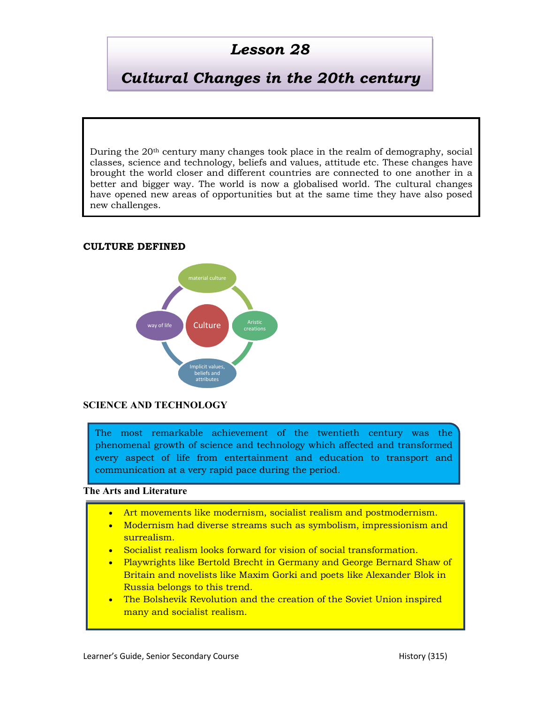# Lesson 28

# Cultural Changes in the 20th century

During the 20th century many changes took place in the realm of demography, social classes, science and technology, beliefs and values, attitude etc. These changes have brought the world closer and different countries are connected to one another in a better and bigger way. The world is now a globalised world. The cultural changes have opened new areas of opportunities but at the same time they have also posed new challenges.

#### CULTURE DEFINED



#### SCIENCE AND TECHNOLOGY

The most remarkable achievement of the twentieth century was the phenomenal growth of science and technology which affected and transformed every aspect of life from entertainment and education to transport and communication at a very rapid pace during the period.

#### The Arts and Literature

- Art movements like modernism, socialist realism and postmodernism.
- Modernism had diverse streams such as symbolism, impressionism and surrealism.
- Socialist realism looks forward for vision of social transformation.
- Playwrights like Bertold Brecht in Germany and George Bernard Shaw of Britain and novelists like Maxim Gorki and poets like Alexander Blok in Russia belongs to this trend.
- The Bolshevik Revolution and the creation of the Soviet Union inspired many and socialist realism.